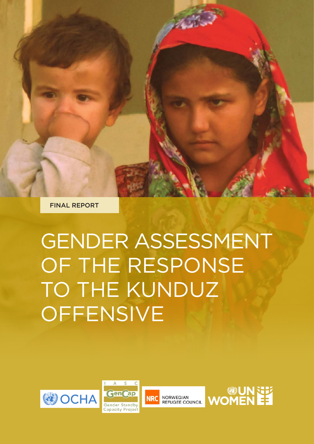FINAL REPORT

# GENDER ASSESSMENT OF THE RESPONSE TO THE KUNDUZ **OFFENSIVE**







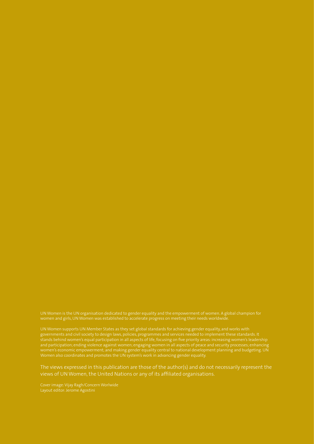UN Women is the UN organisation dedicated to gender equality and the empowerment of women. A global champion for women and girls, UN Women was established to accelerate progress on meeting their needs worldwide.

UN Women supports UN Member States as they set global standards for achieving gender equality, and works with governments and civil society to design laws, policies, programmes and services needed to implement these standards. It and participation; ending violence against women; engaging women in all aspects of peace and security processes; enhancing women's economic empowerment; and making gender equality central to national development planning and budgeting. UN Women also coordinates and promotes the UN system's work in advancing gender equality.

The views expressed in this publication are those of the author(s) and do not necessarily represent the views of UN Women, the United Nations or any of its affiliated organisations.

Cover image: Vijay Ragh/Concern Worlwide Layout editor: Jerome Agostini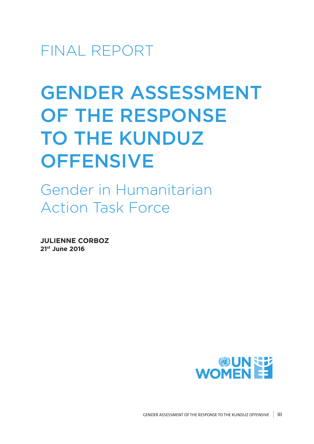FINAL REPORT

# GENDER ASSESSMENT OF THE RESPONSE TO THE KUNDUZ **OFFENSIVE**

Gender in Humanitarian Action Task Force

**JULIENNE CORBOZ 21st June 2016**

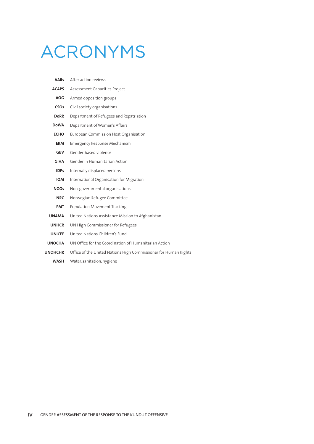# ACRONYMS

| <b>AARs</b>    | After action reviews                                            |  |
|----------------|-----------------------------------------------------------------|--|
| <b>ACAPS</b>   | Assessment Capacities Project                                   |  |
| <b>AOG</b>     | Armed opposition groups                                         |  |
| <b>CSOs</b>    | Civil society organisations                                     |  |
| <b>DoRR</b>    | Department of Refugees and Repatriation                         |  |
| <b>DoWA</b>    | Department of Women's Affairs                                   |  |
| <b>ECHO</b>    | European Commission Host Organisation                           |  |
| <b>ERM</b>     | <b>Emergency Response Mechanism</b>                             |  |
| <b>GBV</b>     | Gender-based violence                                           |  |
| <b>GiHA</b>    | Gender in Humanitarian Action                                   |  |
| <b>IDPs</b>    | Internally displaced persons                                    |  |
| <b>IOM</b>     | International Organisation for Migration                        |  |
| <b>NGOs</b>    | Non-governmental organisations                                  |  |
| <b>NRC</b>     | Norwegian Refugee Committee                                     |  |
| <b>PMT</b>     | Population Movement Tracking                                    |  |
| <b>UNAMA</b>   | United Nations Assistance Mission to Afghanistan                |  |
| <b>UNHCR</b>   | UN High Commissioner for Refugees                               |  |
| <b>UNICEF</b>  | United Nations Children's Fund                                  |  |
| <b>UNOCHA</b>  | UN Office for the Coordination of Humanitarian Action           |  |
| <b>UNOHCHR</b> | Office of the United Nations High Commissioner for Human Rights |  |
|                |                                                                 |  |

**WASH** Water, sanitation, hygiene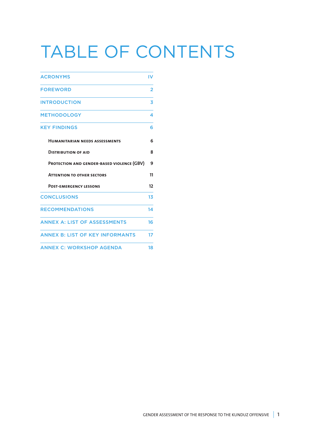# TABLE OF CONTENTS

| <b>ACRONYMS</b>                            | IV |
|--------------------------------------------|----|
| <b>FOREWORD</b>                            | 2  |
| <b>INTRODUCTION</b>                        | 3  |
| <b>METHODOLOGY</b>                         | 4  |
| <b>KEY FINDINGS</b>                        | 6  |
| <b>HUMANITARIAN NEEDS ASSESSMENTS</b>      | 6  |
| <b>DISTRIBUTION OF AID</b>                 | 8  |
| PROTECTION AND GENDER-BASED VIOLENCE (GBV) | 9  |
| <b>ATTENTION TO OTHER SECTORS</b>          | 11 |
| <b>POST-EMERGENCY LESSONS</b>              | 12 |
| <b>CONCLUSIONS</b>                         | 13 |
| <b>RECOMMENDATIONS</b>                     | 14 |
| <b>ANNEX A: LIST OF ASSESSMENTS</b>        | 16 |
| <b>ANNEX B: LIST OF KEY INFORMANTS</b>     | 17 |
| <b>ANNEX C: WORKSHOP AGENDA</b>            | 18 |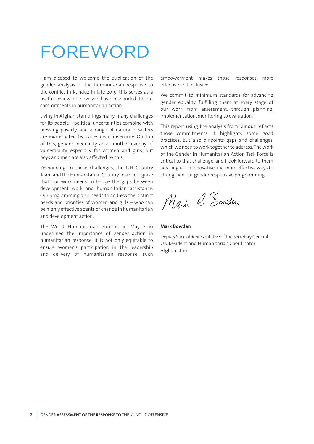### FOREWORD

I am pleased to welcome the publication of the gender analysis of the humanitarian response to the conflict in Kunduz in late 2015; this serves as a useful review of how we have responded to our commitments in humanitarian action.

Living in Afghanistan brings many, many challenges for its people – political uncertainties combine with pressing poverty, and a range of natural disasters are exacerbated by widespread insecurity. On top of this, gender inequality adds another overlay of vulnerability, especially for women and girls, but boys and men are also affected by this.

Responding to these challenges, the UN Country Team and the Humanitarian Country Team recognise that our work needs to bridge the gaps between development work and humanitarian assistance. Our programming also needs to address the distinct needs and priorities of women and girls – who can be highly effective agents of change in humanitarian and development action.

The World Humanitarian Summit in May 2016 underlined the importance of gender action in humanitarian response; it is not only equitable to ensure women's participation in the leadership and delivery of humanitarian response, such

empowerment makes those responses more effective and inclusive.

We commit to minimum standards for advancing gender equality, fulfilling them at every stage of our work, from assessment, through planning, implementation, monitoring to evaluation.

This report using the analysis from Kunduz reflects those commitments. It highlights some good practices, but also pinpoints gaps and challenges, which we need to work together to address. The work of the Gender in Humanitarian Action Task Force is critical to that challenge, and I look forward to them advising us on innovative and more effective ways to strengthen our gender responsive programming.

Mark. R. Sonder

#### **Mark Bowden**

Deputy Special Representative of the Secretary General UN Resident and Humanitarian Coordinator Afghanistan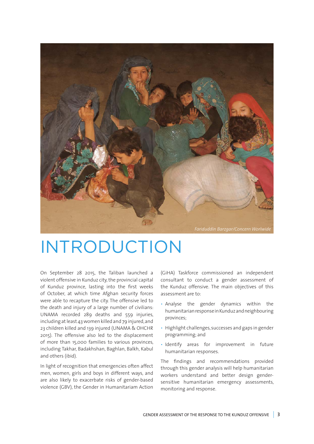

### INTRODUCTION

On September 28 2015, the Taliban launched a violent offensive in Kunduz city, the provincial capital of Kunduz province, lasting into the first weeks of October, at which time Afghan security forces were able to recapture the city. The offensive led to the death and injury of a large number of civilians: UNAMA recorded 289 deaths and 559 injuries, including at least 43 women killed and 79 injured, and 23 children killed and 139 injured (UNAMA & OHCHR 2015). The offensive also led to the displacement of more than 15,000 families to various provinces, including Takhar, Badakhshan, Baghlan, Balkh, Kabul and others (ibid).

In light of recognition that emergencies often affect men, women, girls and boys in different ways, and are also likely to exacerbate risks of gender-based violence (GBV), the Gender in Humanitariam Action

(GiHA) Taskforce commissioned an independent consultant to conduct a gender assessment of the Kunduz offensive. The main objectives of this assessment are to:

- Analyse the gender dynamics within the humanitarian response in Kunduz and neighbouring provinces;
- Highlight challenges, successes and gaps in gender programming; and
- Identify areas for improvement in future humanitarian responses.

The findings and recommendations provided through this gender analysis will help humanitarian workers understand and better design gendersensitive humanitarian emergency assessments, monitoring and response.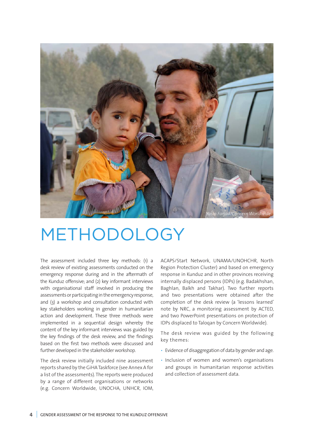

### METHODOLOGY

The assessment included three key methods: (1) a desk review of existing assessments conducted on the emergency response during and in the aftermath of the Kunduz offensive; and (2) key informant interviews with organisational staff involved in producing the assessments or participating in the emergency response, and (3) a workshop and consultation conducted with key stakeholders working in gender in humanitarian action and development. These three methods were implemented in a sequential design whereby the content of the key informant interviews was guided by the key findings of the desk review, and the findings based on the first two methods were discussed and further developed in the stakeholder workshop.

The desk review initially included nine assessment reports shared by the GiHA Taskforce (see Annex A for a list of the assessments). The reports were produced by a range of different organisations or networks (e.g. Concern Worldwide, UNOCHA, UNHCR, IOM,

ACAPS/Start Network, UNAMA/UNOHCHR, North Region Protection Cluster) and based on emergency response in Kunduz and in other provinces receiving internally displaced persons (IDPs) (e.g. Badakhshan, Baghlan, Balkh and Takhar). Two further reports and two presentations were obtained after the completion of the desk review (a 'lessons learned' note by NRC, a monitoring assessment by ACTED, and two PowerPoint presentations on protection of IDPs displaced to Taloqan by Concern Worldwide).

The desk review was guided by the following key themes:

- Evidence of disaggregation of data by gender and age.
- Inclusion of women and women's organisations and groups in humanitarian response activities and collection of assessment data.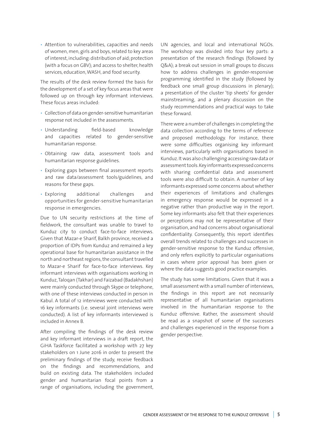• Attention to vulnerabilities, capacities and needs of women, men, girls and boys, related to key areas of interest, including: distribution of aid; protection (with a focus on GBV); and access to shelter, health services, education, WASH, and food security.

The results of the desk review formed the basis for the development of a set of key focus areas that were followed up on through key informant interviews. These focus areas included:

- Collection of data on gender-sensitive humanitarian response not included in the assessments.
- Understanding field-based knowledge and capacities related to gender-sensitive humanitarian response.
- Obtaining raw data, assessment tools and humanitarian response guidelines.
- Exploring gaps between final assessment reports and raw data/assessment tools/guidelines, and reasons for these gaps.
- Exploring additional challenges and opportunities for gender-sensitive humanitarian response in emergencies.

Due to UN security restrictions at the time of fieldwork, the consultant was unable to travel to Kunduz city to conduct face-to-face interviews. Given that Mazar-e Sharif, Balkh province, received a proportion of IDPs from Kunduz and remained a key operational base for humanitarian assistance in the north and northeast regions, the consultant travelled to Mazar-e Sharif for face-to-face interviews. Key informant interviews with organisations working in Kunduz, Taloqan (Takhar) and Faizabad (Badakhshan) were mainly conducted through Skype or telephone, with one of these interviews conducted in person in Kabul. A total of 12 interviews were conducted with 16 key informants (i.e. several joint interviews were conducted). A list of key informants interviewed is included in Annex B.

After compiling the findings of the desk review and key informant interviews in a draft report, the GiHA Taskforce facilitated a workshop with 27 key stakeholders on 1 June 2016 in order to present the preliminary findings of the study, receive feedback on the findings and recommendations, and build on existing data. The stakeholders included gender and humanitarian focal points from a range of organisations, including the government,

UN agencies, and local and international NGOs. The workshop was divided into four key parts: a presentation of the research findings (followed by Q&A); a break out session in small groups to discuss how to address challenges in gender-responsive programming identified in the study (followed by feedback one small group discussions in plenary); a presentation of the cluster 'tip sheets' for gender mainstreaming, and a plenary discussion on the study recommendations and practical ways to take these forward.

There were a number of challenges in completing the data collection according to the terms of reference and proposed methodology. For instance, there were some difficulties organising key informant interviews, particularly with organisations based in Kunduz. It was also challenging accessing raw data or assessment tools. Key informants expressed concerns with sharing confidential data and assessment tools were also difficult to obtain. A number of key informants expressed some concerns about whether their experiences of limitations and challenges in emergency response would be expressed in a negative rather than productive way in the report. Some key informants also felt that their experiences or perceptions may not be representative of their organisation, and had concerns about organisational confidentiality. Consequently, this report identifies overall trends related to challenges and successes in gender-sensitive response to the Kunduz offensive, and only refers explicitly to particular organisations in cases where prior approval has been given or where the data suggests good practice examples.

The study has some limitations. Given that it was a small assessment with a small number of interviews, the findings in this report are not necessarily representative of all humanitarian organisations involved in the humanitarian response to the Kunduz offensive. Rather, the assessment should be read as a snapshot of some of the successes and challenges experienced in the response from a gender perspective.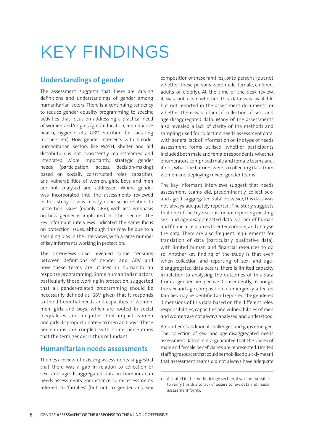# KEY FINDINGS

### **Understandings of gender**

The assessment suggests that there are varying definitions and understandings of gender among humanitarian actors. There is a continuing tendency to reduce gender equality programming to specific activities that focus on addressing a practical need of women and/or girls (girls' education, reproductive health, hygiene kits, GBV, nutrition for lactating mothers etc). How gender intersects with broader humanitarian sectors like WASH, shelter and aid distribution is not consistently mainstreamed and integrated. More importantly, strategic gender needs (participation, access, decision-making) based on socially constructed roles, capacities, and vulnerabilities of women, girls, boys and men are not analysed and addressed. Where gender was incorporated into the assessments reviewed in this study, it was mostly done so in relation to protection issues (mainly GBV), with less emphasis on how gender is implicated in other sectors. The key informant interviews indicated the same focus on protection issues, although this may be due to a sampling bias in the interviews, with a large number of key informants working in protection.

The interviews also revealed some tensions between definitions of gender and GBV and how these terms are utilised in humanitarian response programming. Some humanitarian actors, particularly those working in protection, suggested that all gender-related programming should be necessarily defined as GBV given that it responds to the differential needs and capacities of women, men, girls and boys, which are rooted in social inequalities and inequities that impact women and girls disproportionately to men and boys. These perceptions are coupled with some perceptions that the term gender is thus redundant.

### **Humanitarian needs assessments**

The desk review of existing assessments suggested that there was a gap in relation to collection of sex- and age-disaggregated data in humanitarian needs assessments. For instance, some assessments referred to 'families' (but not to gender and sex

composition of these families), or to 'persons' (but not whether these persons were male, female, children, adults or elderly). At the time of the desk review, it was not clear whether this data was available but not reported in the assessment documents, or whether there was a lack of collection of sex- and age-disaggregated data. Many of the assessments also revealed a lack of clarity of the methods and sampling used for collecting needs assessment data, with general lack of information on the type of needs assessment forms utilised, whether participants included both male and female respondents, whether enumerators comprised male and female teams and, if not, what the barriers were to collecting data from women and deploying mixed-gender teams.

The key informant interviews suggest that needs assessment teams did, predominantly, collect sexand age-disaggregated data<sup>1</sup>. However, this data was not always adequately reported. The study suggests that one of the key reasons for not reporting existing sex- and age-disaggregated data is a lack of human and financial resources to enter, compile, and analyse the data. There are also frequent requirements for translation of data (particularly qualitative data), with limited human and financial resources to do so. Another key finding of the study is that even when collection and reporting of sex- and agedisaggregated data occurs, there is limited capacity in relation to analysing the outcomes of this data from a gender perspective. Consequently, although the sex and age composition of emergency-affected families may be identified and reported, the gendered dimensions of this data based on the different roles, responsibilities, capacities and vulnerabilities of men and women are not always analysed and understood.

A number of additional challenges and gaps emerged. The collection of sex- and age-disaggregated needs assessment data is not a guarantee that the voices of male and female beneficiaries are represented. Limited staffing resources that could be mobilised quickly meant that assessment teams did not always have adequate

<sup>1</sup> As noted in the methodology section, it was not possible to verify this due to lack of access to raw data and needs assessment forms.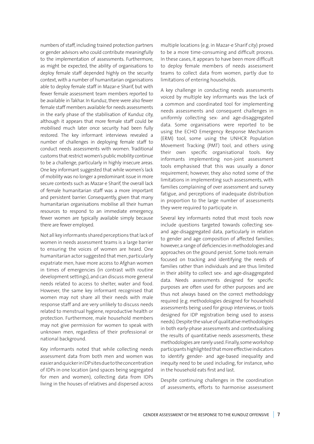numbers of staff, including trained protection partners or gender advisors who could contribute meaningfully to the implementation of assessments. Furthermore, as might be expected, the ability of organisations to deploy female staff depended highly on the security context, with a number of humanitarian organisations able to deploy female staff in Mazar-e Sharif, but with fewer female assessment team members reported to be available in Takhar. In Kunduz, there were also fewer female staff members available for needs assessments in the early phase of the stabilisation of Kunduz city, although it appears that more female staff could be mobilised much later once security had been fully restored. The key informant interviews revealed a number of challenges in deploying female staff to conduct needs assessments with women. Traditional customs that restrict women's public mobility continue to be a challenge, particularly in highly insecure areas. One key informant suggested that while women's lack of mobility was no longer a predominant issue in more secure contexts such as Mazar-e Sharif, the overall lack of female humanitarian staff was a more important and persistent barrier. Consequently, given that many humanitarian organisations mobilise all their human resources to respond to an immediate emergency, fewer women are typically available simply because there are fewer employed.

Not all key informants shared perceptions that lack of women in needs assessment teams is a large barrier to ensuring the voices of women are heard. One humanitarian actor suggested that men, particularly expatriate men, have more access to Afghan women in times of emergencies (in contrast with routine development settings), and can discuss more general needs related to access to shelter, water and food. However, the same key informant recognised that women may not share all their needs with male response staff and are very unlikely to discuss needs related to menstrual hygiene, reproductive health or protection. Furthermore, male household members may not give permission for women to speak with unknown men, regardless of their professional or national background.

Key informants noted that while collecting needs assessment data from both men and women was easier and quicker in IDP sites due to the concentration of IDPs in one location (and spaces being segregated for men and women), collecting data from IDPs living in the houses of relatives and dispersed across

multiple locations (e.g. in Mazar-e Sharif city) proved to be a more time-consuming and difficult process. In these cases, it appears to have been more difficult to deploy female members of needs assessment teams to collect data from women, partly due to limitations of entering households.

A key challenge in conducting needs assessments voiced by multiple key informants was the lack of a common and coordinated tool for implementing needs assessments and consequent challenges in uniformly collecting sex- and age-disaggregated data. Some organisations were reported to be using the ECHO Emergency Response Mechanism (ERM) tool, some using the UNHCR Population Movement Tracking (PMT) tool, and others using their own specific organisational tools. Key informants implementing non-joint assessment tools emphasised that this was usually a donor requirement; however, they also noted some of the limitations in implementing such assessments, with families complaining of over assessment and survey fatigue, and perceptions of inadequate distribution in proportion to the large number of assessments they were required to participate in.

Several key informants noted that most tools now include questions targeted towards collecting sexand age-disaggregated data, particularly in relation to gender and age composition of affected families; however, a range of deficiencies in methodologies and approaches on the ground persist. Some tools remain focused on tracking and identifying the needs of families rather than individuals and are thus limited in their ability to collect sex- and age-disaggregated data. Needs assessments designed for specific purposes are often used for other purposes and are thus not always based on the correct methodology required (e.g. methodologies designed for household assessments being used for group interviews, or tools designed for IDP registration being used to assess needs). Despite the value of qualitative methodologies in both early-phase assessments and contextualising the results of quantitative needs assessments, these methodologies are rarely used. Finally, some workshop participants highlighted that more effective indicators to identify gender- and age-based inequality and inequity need to be used including, for instance, who in the household eats first and last.

Despite continuing challenges in the coordination of assessments, efforts to harmonise assessment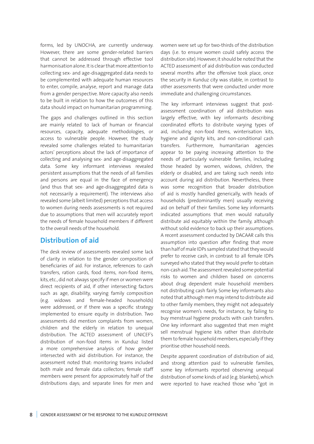forms, led by UNOCHA, are currently underway. However, there are some gender-related barriers that cannot be addressed through effective tool harmonisation alone. It is clear that more attention to collecting sex- and age-disaggregated data needs to be complemented with adequate human resources to enter, compile, analyse, report and manage data from a gender perspective. More capacity also needs to be built in relation to how the outcomes of this data should impact on humanitarian programming.

The gaps and challenges outlined in this section are mainly related to lack of human or financial resources, capacity, adequate methodologies, or access to vulnerable people. However, the study revealed some challenges related to humanitarian actors' perceptions about the lack of importance of collecting and analysing sex- and age-disaggregated data. Some key informant interviews revealed persistent assumptions that the needs of all families and persons are equal in the face of emergency (and thus that sex- and age-disaggregated data is not necessarily a requirement). The interviews also revealed some (albeit limited) perceptions that access to women during needs assessments is not required due to assumptions that men will accurately report the needs of female household members if different to the overall needs of the household.

### **Distribution of aid**

The desk review of assessments revealed some lack of clarity in relation to the gender composition of beneficiaries of aid. For instance, references to cash transfers, ration cards, food items, non-food items, kits, etc., did not always specify if men or women were direct recipients of aid, if other intersecting factors such as age, disability, varying family composition (e.g. widows and female-headed households) were addressed, or if there was a specific strategy implemented to ensure equity in distribution. Two assessments did mention complaints from women, children and the elderly in relation to unequal distribution. The ACTED assessment of UNICEF's distribution of non-food items in Kunduz listed a more comprehensive analysis of how gender intersected with aid distribution. For instance, the assessment noted that: monitoring teams included both male and female data collectors; female staff members were present for approximately half of the distributions days; and separate lines for men and

women were set up for two-thirds of the distribution days (i.e. to ensure women could safely access the distribution site). However, it should be noted that the ACTED assessment of aid distribution was conducted several months after the offensive took place, once the security in Kunduz city was stable, in contrast to other assessments that were conducted under more immediate and challenging circumstances.

The key informant interviews suggest that postassessment coordination of aid distribution was largely effective, with key informants describing coordinated efforts to distribute varying types of aid, including non-food items, winterisation kits, hygiene and dignity kits, and non-conditional cash transfers. Furthermore, humanitarian agencies appear to be paying increasing attention to the needs of particularly vulnerable families, including those headed by women, widows, children, the elderly or disabled, and are taking such needs into account during aid distribution. Nevertheless, there was some recognition that broader distribution of aid is mostly handled generically, with heads of households (predominantly men) usually receiving aid on behalf of their families. Some key informants indicated assumptions that men would naturally distribute aid equitably within the family, although without solid evidence to back up their assumptions. A recent assessment conducted by DACAAR calls this assumption into question after finding that more than half of male IDPs sampled stated that they would prefer to receive cash, in contrast to all female IDPs surveyed who stated that they would prefer to obtain non-cash aid. The assessment revealed some potential risks to women and children based on concerns about drug dependent male household members not distributing cash fairly. Some key informants also noted that although men may intend to distribute aid to other family members, they might not adequately recognise women's needs, for instance, by failing to buy menstrual hygiene products with cash transfers. One key informant also suggested that men might sell menstrual hygiene kits rather than distribute them to female household members, especially if they prioritise other household needs.

Despite apparent coordination of distribution of aid, and strong attention paid to vulnerable families, some key informants reported observing unequal distribution of some kinds of aid (e.g. blankets), which were reported to have reached those who "got in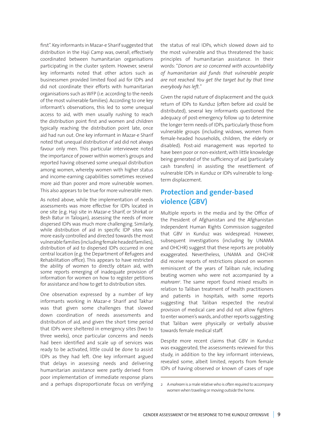first". Key informants in Mazar-e Sharif suggested that distribution in the Haji Camp was, overall, effectively coordinated between humanitarian organisations participating in the cluster system. However, several key informants noted that other actors such as businessmen provided limited food aid for IDPs and did not coordinate their efforts with humanitarian organisations such as WFP (i.e. according to the needs of the most vulnerable families). According to one key informant's observations, this led to some unequal access to aid, with men usually rushing to reach the distribution point first and women and children typically reaching the distribution point late, once aid had run out. One key informant in Mazar-e Sharif noted that unequal distribution of aid did not always favour only men. This particular interviewee noted the importance of power within women's groups and reported having observed some unequal distribution among women, whereby women with higher status and income-earning capabilities sometimes received more aid than poorer and more vulnerable women. This also appears to be true for more vulnerable men.

As noted above, while the implementation of needs assessments was more effective for IDPs located in one site (e.g. Haji site in Mazar-e Sharif, or Shirkat or Besh Batur in Taloqan), assessing the needs of more dispersed IDPs was much more challenging. Similarly, while distribution of aid in specific IDP sites was more easily controlled and directed towards the most vulnerable families (including female headed families), distribution of aid to dispersed IDPs occurred in one central location (e.g. the Department of Refugees and Rehabilitation office). This appears to have restricted the ability of women to directly obtain aid, with some reports emerging of inadequate provision of information for women on how to register petitions for assistance and how to get to distribution sites.

One observation expressed by a number of key informants working in Mazar-e Sharif and Takhar was that given some challenges that slowed down coordination of needs assessments and distribution of aid, and given the short time period that IDPs were sheltered in emergency sites (two to three weeks), once particular concerns and needs had been identified and scale up of services was ready to be activated, little could be done to assist IDPs as they had left. One key informant argued that delays in assessing needs and delivering humanitarian assistance were partly derived from poor implementation of immediate response plans and a perhaps disproportionate focus on verifying

the status of real IDPs, which slowed down aid to the most vulnerable and thus threatened the basic principles of humanitarian assistance. In their words: "*Donors are so concerned with accountability of humanitarian aid funds that vulnerable people are not reached. You get the target but by that time everybody has left.*"

Given the rapid nature of displacement and the quick return of IDPs to Kunduz (often before aid could be distributed), several key informants questioned the adequacy of post-emergency follow up to determine the longer term needs of IDPs, particularly those from vulnerable groups (including widows, women from female-headed households, children, the elderly or disabled). Post-aid management was reported to have been poor or non-existent, with little knowledge being generated of the sufficiency of aid (particularly cash transfers) in assisting the resettlement of vulnerable IDPs in Kunduz or IDPs vulnerable to longterm displacement.

### **Protection and gender-based violence (GBV)**

Multiple reports in the media and by the Office of the President of Afghanistan and the Afghanistan Independent Human Rights Commission suggested that GBV in Kunduz was widespread. However, subsequent investigations (including by UNAMA and OHCHR) suggest that these reports are probably exaggerated. Nevertheless, UNAMA and OHCHR did receive reports of restrictions placed on women reminiscent of the years of Taliban rule, including beating women who were not accompanied by a *mahram2* . The same report found mixed results in relation to Taliban treatment of health practitioners and patients in hospitals, with some reports suggesting that Taliban respected the neutral provision of medical care and did not allow fighters to enter women's wards, and other reports suggesting that Taliban were physically or verbally abusive towards female medical staff.

Despite more recent claims that GBV in Kunduz was exaggerated, the assessments reviewed for this study, in addition to the key informant interviews, revealed some, albeit limited, reports from female IDPs of having observed or known of cases of rape

<sup>2</sup> A *mahram* is a male relative who is often required to accompany women when traveling or moving outside the home.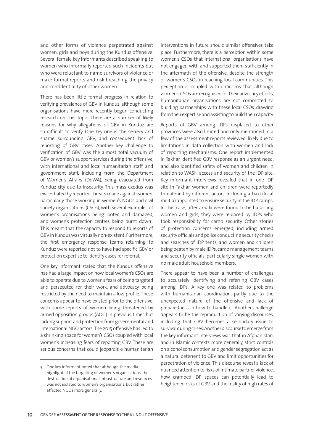and other forms of violence perpetrated against women, girls and boys during the Kunduz offensive. Several female key informants described speaking to women who informally reported such incidents but who were reluctant to name survivors of violence or make formal reports and risk breaching the privacy and confidentiality of other women.

There has been little formal progress in relation to verifying prevalence of GBV in Kunduz, although some organisations have more recently begun conducting research on this topic. There are a number of likely reasons for why allegations of GBV in Kunduz are so difficult to verify. One key one is the secrecy and shame surrounding GBV, and consequent lack of reporting of GBV cases. Another key challenge to verification of GBV was the almost total vacuum of GBV or women's support services during the offensive, with international and local humanitarian staff, and government staff, including from the Department of Women's Affairs (DoWA), being evacuated from Kunduz city due to insecurity. This mass exodus was exacerbated by reported threats made against women, particularly those working in women's NGOs and civil society organisations (CSOs), with several examples of women's organisations being looted and damaged, and women's protection centres being burnt down<sup>3</sup>. This meant that the capacity to respond to reports of GBV in Kunduz was virtually non-existent. Furthermore, the first emergency response teams returning to Kunduz were reported not to have had specific GBV or protection expertise to identify cases for referral.

One key informant stated that the Kunduz offensive has had a large impact on how local women's CSOs are able to operate due to women's fears of being targeted and persecuted for their work, and advocacy being restricted by the need to maintain a low profile. These concerns appear to have existed prior to the offensive, with some reports of women being threatened by armed opposition groups (AOG) in previous times but lacking support and protection from governmental and international NGO actors. The 2015 offensive has led to a shrinking space for women's CSOs coupled with local women's increasing fears of reporting GBV. These are serious concerns that could jeopardis e humanitarian interventions in future should similar offensives take place. Furthermore, there is a perception within some women's CSOs that international organisations have not engaged with and supported them sufficiently in the aftermath of the offensive, despite the strength of women's CSOs in reaching local communities. This perception is coupled with criticisms that although women's CSOs are recognised for their advocacy efforts, humanitarian organisations are not committed to building partnerships with these local CSOs, drawing from their expertise and assisting to build their capacity.

Reports of GBV among IDPs displaced to other provinces were also limited and only mentioned in a few of the assessment reports reviewed, likely due to limitations in data collection with women and lack of reporting mechanisms. One report implemented in Takhar identified GBV response as an urgent need, and also identified safety of women and children in relation to WASH access and security of the IDP site. Key informant interviews revealed that in one IDP site in Takhar, women and children were reportedly threatened by different actors, including arbaki (local militia) appointed to ensure security in the IDP camps. In this case, after arbaki were found to be harassing women and girls, they were replaced by IDPs who took responsibility for camp security. Other stories of protection concerns emerged, including armed security officials and police conducting security checks and searches of IDP tents, and women and children being beaten by male IDPs, camp management teams and security officials, particularly single women with no male adult household members.

There appear to have been a number of challenges to accurately identifying and referring GBV cases among IDPs. A key one was related to problems with humanitarian coordination, partly due to the unexpected nature of the offensive and lack of preparedness in how to handle it. Another challenge appears to be the reproduction of varying discourses, including that GBV becomes a secondary issue to survival during crises. Another discourse to emerge from the key informant interviews was that in Afghanistan, and in Islamic contexts more generally, strict controls on alcohol consumption and gender segregation act as a natural deterrent to GBV and limit opportunities for perpetration of violence. This discourse reveal a lack of nuanced attention to risks of intimate partner violence, how cramped IDP spaces can potentially lead to heightened risks of GBV, and the reality of high rates of

<sup>3</sup> One key informant noted that although the media highlighted the targeting of women's organisations, the destruction of organisational infrastructure and resources was not isolated to women's organisations, but rather affected NGOs more generally.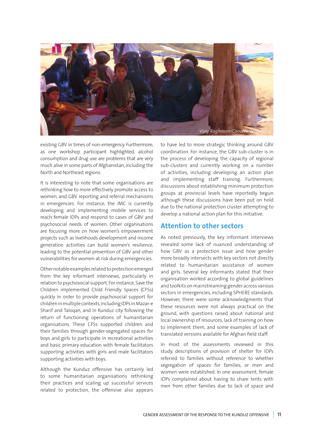

existing GBV in times of non-emergency. Furthermore, as one workshop participant highlighted, alcohol consumption and drug use are problems that are very much alive in some parts of Afghanistan, including the North and Northeast regions.

It is interesting to note that some organisations are rethinking how to more effectively promote access to women, and GBV reporting and referral mechanisms in emergencies. For instance, the IMC is currently developing and implementing mobile services to reach female IDPs and respond to cases of GBV and psychosocial needs of women. Other organisations are focusing more on how women's empowerment projects such as livelihoods development and income generation activities can build women's resilience, leading to the potential prevention of GBV and other vulnerabilities for women at risk during emergencies.

Other notable examples related to protection emerged from the key informant interviews, particularly in relation to psychosocial support. For instance, Save the Children implemented Child Friendly Spaces (CFSs) quickly in order to provide psychosocial support for children in multiple contexts, including IDPs in Mazar-e Sharif and Taloqan, and in Kunduz city following the return of functioning operations of humanitarian organisations. These CFSs supported children and their families through gender-segregated spaces for boys and girls to participate in recreational activities and basic primary education with female facilitators supporting activities with girls and male facilitators supporting activities with boys.

Although the Kunduz offensive has certainly led to some humanitarian organisations rethinking their practices and scaling up successful services related to protection, the offensive also appears

to have led to more strategic thinking around GBV coordination. For instance, the GBV sub-cluster is in the process of developing the capacity of regional sub-clusters and currently working on a number of activities, including developing an action plan and implementing staff training. Furthermore, discussions about establishing minimum protection groups at provincial levels have reportedly begun although these discussions have been put on hold due to the national protection cluster attempting to develop a national action plan for this initiative.

### **Attention to other sectors**

As noted previously, the key informant interviews revealed some lack of nuanced understanding of how GBV as a protection issue and how gender more broadly intersects with key sectors not directly related to humanitarian assistance of women and girls. Several key informants stated that their organisation worked according to global guidelines and toolkits on mainstreaming gender across various sectors in emergencies, including SPHERE standards. However, there were some acknowledgments that these resources were not always practical on the ground, with questions raised about national and local ownership of resources, lack of training on how to implement them, and some examples of lack of translated versions available for Afghan field staff.

In most of the assessments reviewed in this study, descriptions of provision of shelter for IDPs referred to families without reference to whether segregation of spaces for families, or men and women were established. In one assessment, female IDPs complained about having to share tents with men from other families due to lack of space and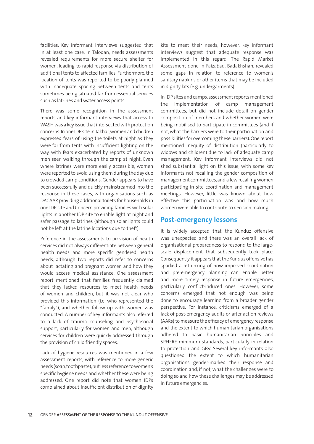facilities. Key informant interviews suggested that in at least one case, in Taloqan, needs assessments revealed requirements for more secure shelter for women, leading to rapid response via distribution of additional tents to affected families. Furthermore, the location of tents was reported to be poorly planned with inadequate spacing between tents and tents sometimes being situated far from essential services such as latrines and water access points.

There was some recognition in the assessment reports and key informant interviews that access to WASH was a key issue that intersected with protection concerns. In one IDP site in Takhar, women and children expressed fears of using the toilets at night as they were far from tents with insufficient lighting on the way, with fears exacerbated by reports of unknown men seen walking through the camp at night. Even where latrines were more easily accessible, women were reported to avoid using them during the day due to crowded camp conditions. Gender appears to have been successfully and quickly mainstreamed into the response in these cases, with organisations such as DACAAR providing additional toilets for households in one IDP site and Concern providing families with solar lights in another IDP site to enable light at night and safer passage to latrines (although solar lights could not be left at the latrine locations due to theft).

Reference in the assessments to provision of health services did not always differentiate between general health needs and more specific gendered health needs, although two reports did refer to concerns about lactating and pregnant women and how they would access medical assistance. One assessment report mentioned that families frequently claimed that they lacked resources to meet health needs of women and children, but it was not clear who provided this information (i.e. who represented the "family"), and whether follow up with women was conducted. A number of key informants also referred to a lack of trauma counseling and psychosocial support, particularly for women and men, although services for children were quickly addressed through the provision of child friendly spaces.

Lack of hygiene resources was mentioned in a few assessment reports, with reference to more generic needs (soap, toothpaste), but less reference to women's specific hygiene needs and whether these were being addressed. One report did note that women IDPs complained about insufficient distribution of dignity

kits to meet their needs; however, key informant interviews suggest that adequate response was implemented in this regard. The Rapid Market Assessment done in Faizabad, Badakhshan, revealed some gaps in relation to reference to women's sanitary napkins or other items that may be included in dignity kits (e.g. undergarments).

In IDP sites and camps, assessment reports mentioned the implementation of camp management committees, but did not include detail on gender composition of members and whether women were being mobilised to participate in committees (and if not, what the barriers were to their participation and possibilities for overcoming these barriers). One report mentioned inequity of distribution (particularly to widows and children) due to lack of adequate camp management. Key informant interviews did not shed substantial light on this issue, with some key informants not recalling the gender composition of management committees, and a few recalling women participating in site coordination and management meetings. However, little was known about how effective this participation was and how much women were able to contribute to decision making.

### **Post-emergency lessons**

It is widely accepted that the Kunduz offensive was unexpected and there was an overall lack of organisational preparedness to respond to the largescale displacement that subsequently took place. Consequently, it appears that the Kunduz offensive has sparked a rethinking of how improved coordination and pre-emergency planning can enable better and more timely response in future emergencies, particularly conflict-induced ones. However, some concerns emerged that not enough was being done to encourage learning from a broader gender perspective. For instance, criticisms emerged of a lack of post-emergency audits or after action reviews (AARs) to measure the efficacy of emergency response and the extent to which humanitarian organisations adhered to basic humanitarian principles and SPHERE minimum standards, particularly in relation to protection and GBV. Several key informants also questioned the extent to which humanitarian organisations gender-marked their response and coordination and, if not, what the challenges were to doing so and how these challenges may be addressed in future emergencies.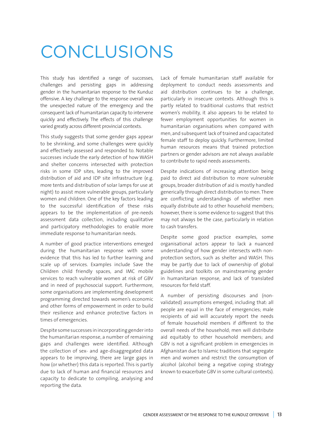### CONCLUSIONS

This study has identified a range of successes, challenges and persisting gaps in addressing gender in the humanitarian response to the Kunduz offensive. A key challenge to the response overall was the unexpected nature of the emergency and the consequent lack of humanitarian capacity to intervene quickly and effectively. The effects of this challenge varied greatly across different provincial contexts.

This study suggests that some gender gaps appear to be shrinking, and some challenges were quickly and effectively assessed and responded to. Notable successes include the early detection of how WASH and shelter concerns intersected with protection risks in some IDP sites, leading to the improved distribution of aid and IDP site infrastructure (e.g. more tents and distribution of solar lamps for use at night) to assist more vulnerable groups, particularly women and children. One of the key factors leading to the successful identification of these risks appears to be the implementation of pre-needs assessment data collection, including qualitative and participatory methodologies to enable more immediate response to humanitarian needs.

A number of good practice interventions emerged during the humanitarian response with some evidence that this has led to further learning and scale up of services. Examples include Save the Children child friendly spaces, and IMC mobile services to reach vulnerable women at risk of GBV and in need of psychosocial support. Furthermore, some organisations are implementing development programming directed towards women's economic and other forms of empowerment in order to build their resilience and enhance protective factors in times of emergencies.

Despite some successes in incorporating gender into the humanitarian response, a number of remaining gaps and challenges were identified. Although the collection of sex- and age-disaggregated data appears to be improving, there are large gaps in how (or whether) this data is reported. This is partly due to lack of human and financial resources and capacity to dedicate to compiling, analysing and reporting the data.

Lack of female humanitarian staff available for deployment to conduct needs assessments and aid distribution continues to be a challenge, particularly in insecure contexts. Although this is partly related to traditional customs that restrict women's mobility, it also appears to be related to fewer employment opportunities for women in humanitarian organisations when compared with men, and subsequent lack of trained and capacitated female staff to deploy quickly. Furthermore, limited human resources means that trained protection partners or gender advisors are not always available to contribute to rapid needs assessments.

Despite indications of increasing attention being paid to direct aid distribution to more vulnerable groups, broader distribution of aid is mostly handled generically through direct distribution to men. There are conflicting understandings of whether men equally distribute aid to other household members; however, there is some evidence to suggest that this may not always be the case, particularly in relation to cash transfers.

Despite some good practice examples, some organisational actors appear to lack a nuanced understanding of how gender intersects with nonprotection sectors, such as shelter and WASH. This may be partly due to lack of ownership of global guidelines and toolkits on mainstreaming gender in humanitarian response, and lack of translated resources for field staff.

A number of persisting discourses and (nonvalidated) assumptions emerged, including that: all people are equal in the face of emergencies; male recipients of aid will accurately report the needs of female household members if different to the overall needs of the household; men will distribute aid equitably to other household members; and GBV is not a significant problem in emergencies in Afghanistan due to Islamic traditions that segregate men and women and restrict the consumption of alcohol (alcohol being a negative coping strategy known to exacerbate GBV in some cultural contexts).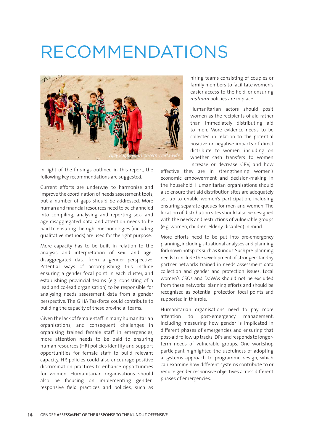### RECOMMENDATIONS



In light of the findings outlined in this report, the following key recommendations are suggested.

Current efforts are underway to harmonise and improve the coordination of needs assessment tools, but a number of gaps should be addressed. More human and financial resources need to be channeled into compiling, analysing and reporting sex- and age-disaggregated data, and attention needs to be paid to ensuring the right methodologies (including qualitative methods) are used for the right purpose.

More capacity has to be built in relation to the analysis and interpretation of sex- and agedisaggregated data from a gender perspective. Potential ways of accomplishing this include ensuring a gender focal point in each cluster, and establishing provincial teams (e.g. consisting of a lead and co-lead organisation) to be responsible for analysing needs assessment data from a gender perspective. The GiHA Taskforce could contribute to building the capacity of these provincial teams.

Given the lack of female staff in many humanitarian organisations, and consequent challenges in organising trained female staff in emergencies, more attention needs to be paid to ensuring human resources (HR) policies identify and support opportunities for female staff to build relevant capacity. HR policies could also encourage positive discrimination practices to enhance opportunities for women. Humanitarian organisations should also be focusing on implementing genderresponsive field practices and policies, such as

hiring teams consisting of couples or family members to facilitate women's easier access to the field, or ensuring *mahram* policies are in place.

Humanitarian actors should posit women as the recipients of aid rather than immediately distributing aid to men. More evidence needs to be collected in relation to the potential positive or negative impacts of direct distribute to women, including on whether cash transfers to women increase or decrease GBV, and how

effective they are in strengthening women's economic empowerment and decision-making in the household. Humanitarian organisations should also ensure that aid distribution sites are adequately set up to enable women's participation, including ensuring separate queues for men and women. The location of distribution sites should also be designed with the needs and restrictions of vulnerable groups (e.g. women, children, elderly, disabled) in mind.

More efforts need to be put into pre-emergency planning, including situational analyses and planning for known hotspots such as Kunduz. Such pre-planning needs to include the development of stronger standby partner networks trained in needs assessment data collection and gender and protection issues. Local women's CSOs and DoWAs should not be excluded from these networks' planning efforts and should be recognised as potential protection focal points and supported in this role.

Humanitarian organisations need to pay more attention to post-emergency management, including measuring how gender is implicated in different phases of emergencies and ensuring that post-aid follow up tracks IDPs and responds to longerterm needs of vulnerable groups. One workshop participant highlighted the usefulness of adopting a systems approach to programme design, which can examine how different systems contribute to or reduce gender-responsive objectives across different phases of emergencies.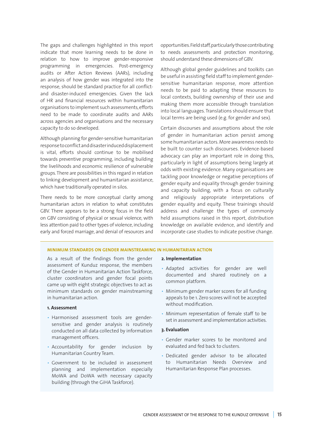The gaps and challenges highlighted in this report indicate that more learning needs to be done in relation to how to improve gender-responsive programming in emergencies. Post-emergency audits or After Action Reviews (AARs), including an analysis of how gender was integrated into the response, should be standard practice for all conflictand disaster-induced emergencies. Given the lack of HR and financial resources within humanitarian organisations to implement such assessments, efforts need to be made to coordinate audits and AARs across agencies and organisations and the necessary capacity to do so developed.

Although planning for gender-sensitive humanitarian response to conflict and disaster induced displacement is vital, efforts should continue to be mobilised towards preventive programming, including building the livelihoods and economic resilience of vulnerable groups. There are possibilities in this regard in relation to linking development and humanitarian assistance, which have traditionally operated in silos.

There needs to be more conceptual clarity among humanitarian actors in relation to what constitutes GBV. There appears to be a strong focus in the field on GBV consisting of physical or sexual violence, with less attention paid to other types of violence, including early and forced marriage, and denial of resources and

opportunities. Field staff, particularly those contributing to needs assessments and protection monitoring, should understand these dimensions of GBV.

Although global gender guidelines and toolkits can be useful in assisting field staff to implement gendersensitive humanitarian response, more attention needs to be paid to adapting these resources to local contexts, building ownership of their use and making them more accessible through translation into local languages. Translations should ensure that local terms are being used (e.g. for gender and sex).

Certain discourses and assumptions about the role of gender in humanitarian action persist among some humanitarian actors. More awareness needs to be built to counter such discourses. Evidence-based advocacy can play an important role in doing this, particularly in light of assumptions being largely at odds with existing evidence. Many organisations are tackling poor knowledge or negative perceptions of gender equity and equality through gender training and capacity building, with a focus on culturally and religiously appropriate interpretations of gender equality and equity. These trainings should address and challenge the types of commonly held assumptions raised in this report, distribution knowledge on available evidence, and identify and incorporate case studies to indicate positive change.

#### **MINIMUM STANDARDS ON GENDER MAINSTREAMING IN HUMANITARIAN ACTION**

As a result of the findings from the gender assessment of Kunduz response, the members of the Gender in Humanitarian Action Taskforce, cluster coordinators and gender focal points came up with eight strategic objectives to act as minimum standards on gender mainstreaming in humanitarian action.

#### **1. Assessment**

- Harmonised assessment tools are gendersensitive and gender analysis is routinely conducted on all data collected by information management officers.
- Accountability for gender inclusion by Humanitarian Country Team.
- Government to be included in assessment planning and implementation especially MoWA and DoWA with necessary capacity building (through the GiHA Taskforce).

#### **2. Implementation**

- Adapted activities for gender are well documented and shared routinely on a common platform.
- Minimum gender marker scores for all funding appeals to be 1. Zero scores will not be accepted without modification.
- Minimum representation of female staff to be set in assessment and implementation activities.

#### **3. Evaluation**

- Gender marker scores to be monitored and evaluated and fed back to clusters.
- Dedicated gender advisor to be allocated to Humanitarian Needs Overview and Humanitarian Response Plan processes.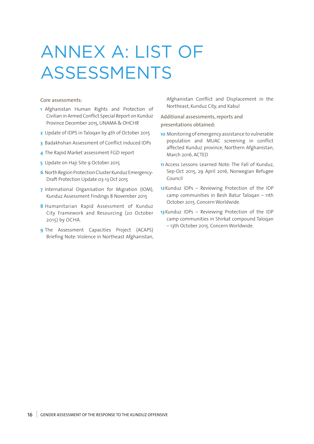# ANNEX A: LIST OF ASSESSMENTS

#### Core assessments:

- **1** Afghanistan Human Rights and Protection of Civilian in Armed Conflict Special Report on Kunduz Province December 2015, UNAMA & OHCHR
- **2** Update of IDPS in Taloqan by 4th of October 2015
- **3** Badakhshan Assessment of Conflict induced IDPs
- **4** The Rapid Market assessment FGD report
- **5** Update on Haji Site 9 October 2015
- **6** North Region Protection Cluster Kunduz Emergency-Draft Protection Update 03-13 Oct 2015
- **7** International Organisation for Migration (IOM), Kunduz Assessment Findings 8 November 2015
- **8** Humanitarian Rapid Assessment of Kunduz City Framework and Resourcing (20 October 2015) by OCHA.
- **9** The Assessment Capacities Project (ACAPS) Briefing Note: Violence in Northeast Afghanistan,

Afghanistan Conflict and Displacement in the Northeast, Kunduz City, and Kabul

Additional assessments, reports and presentations obtained:

- **10** Monitoring of emergency assistance to vulnerable population and MUAC screening in conflict affected Kunduz province, Northern Afghanistan, March 2016, ACTED
- **11** Access Lessons Learned Note: The Fall of Kunduz, Sep-Oct 2015, 29 April 2016, Norwegian Refugee Council
- **12**Kunduz IDPs Reviewing Protection of the IDP camp communities in Besh Batur Taloqan – 11th October 2015. Concern Worldwide.
- **13**Kunduz IDPs Reviewing Protection of the IDP camp communities in Shirkat compound Taloqan – 13th October 2015. Concern Worldwide.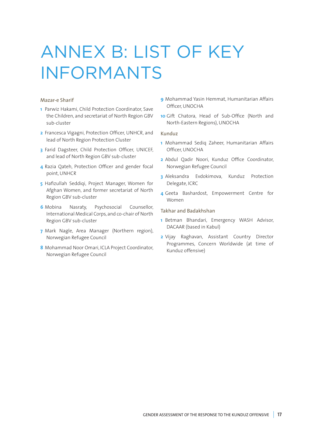# ANNEX B: LIST OF KEY INFORMANTS

#### Mazar-e Sharif

- **1** Parwiz Hakami, Child Protection Coordinator, Save the Children, and secretariat of North Region GBV sub-cluster
- **2** Francesca Vigagni, Protection Officer, UNHCR, and lead of North Region Protection Cluster
- **3** Farid Dagsteer, Child Protection Officer, UNICEF, and lead of North Region GBV sub-cluster
- **4** Razia Qateh, Protection Officer and gender focal point, UNHCR
- **5** Hafizullah Seddiqi, Project Manager, Women for Afghan Women, and former secretariat of North Region GBV sub-cluster
- **6** Mobina Nasraty, Psychosocial Counsellor, International Medical Corps, and co-chair of North Region GBV sub-cluster
- **7** Mark Nagle, Area Manager (Northern region), Norwegian Refugee Council
- **8** Mohammad Noor Omari, ICLA Project Coordinator, Norwegian Refugee Council
- **9** Mohammad Yasin Hemmat, Humanitarian Affairs Officer, UNOCHA
- **10** Gift Chatora, Head of Sub-Office (North and North-Eastern Regions), UNOCHA

#### Kunduz

- **1** Mohammad Sediq Zaheer, Humanitarian Affairs Officer, UNOCHA
- **2** Abdul Qadir Noori, Kunduz Office Coordinator, Norwegian Refugee Council
- **3** Aleksandra Evdokimova, Kunduz Protection Delegate, ICRC
- **4** Geeta Bashardost, Empowerment Centre for Women

#### Takhar and Badakhshan

- **1** Betman Bhandari, Emergency WASH Advisor, DACAAR (based in Kabul)
- **2** Vijay Raghavan, Assistant Country Director Programmes, Concern Worldwide (at time of Kunduz offensive)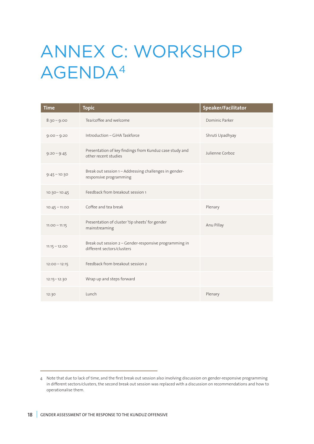# ANNEX C: WORKSHOP AGENDA4

| <b>Time</b>     | <b>Topic</b>                                                                         | Speaker/Facilitator |
|-----------------|--------------------------------------------------------------------------------------|---------------------|
| $8:30 - 9:00$   | Tea/coffee and welcome                                                               | Dominic Parker      |
| $9:00 - 9:20$   | Introduction - GiHA Taskforce                                                        | Shruti Upadhyay     |
| $9:20 - 9:45$   | Presentation of key findings from Kunduz case study and<br>other recent studies      | Julienne Corboz     |
| $9:45 - 10:30$  | Break out session 1-Addressing challenges in gender-<br>responsive programming       |                     |
| $10:30 - 10:45$ | Feedback from breakout session 1                                                     |                     |
| $10:45 - 11:00$ | Coffee and tea break                                                                 | Plenary             |
| $11:00 - 11:15$ | Presentation of cluster 'tip sheets' for gender<br>mainstreaming                     | Anu Pillay          |
| $11:15 - 12:00$ | Break out session 2 - Gender-responsive programming in<br>different sectors/clusters |                     |
| $12:00 - 12:15$ | Feedback from breakout session 2                                                     |                     |
| $12:15 - 12:30$ | Wrap up and steps forward                                                            |                     |
| 12:30           | Lunch                                                                                | Plenary             |

<sup>4</sup> Note that due to lack of time, and the first break out session also involving discussion on gender-responsive programming in different sectors/clusters, the second break out session was replaced with a discussion on recommendations and how to operationalise them.